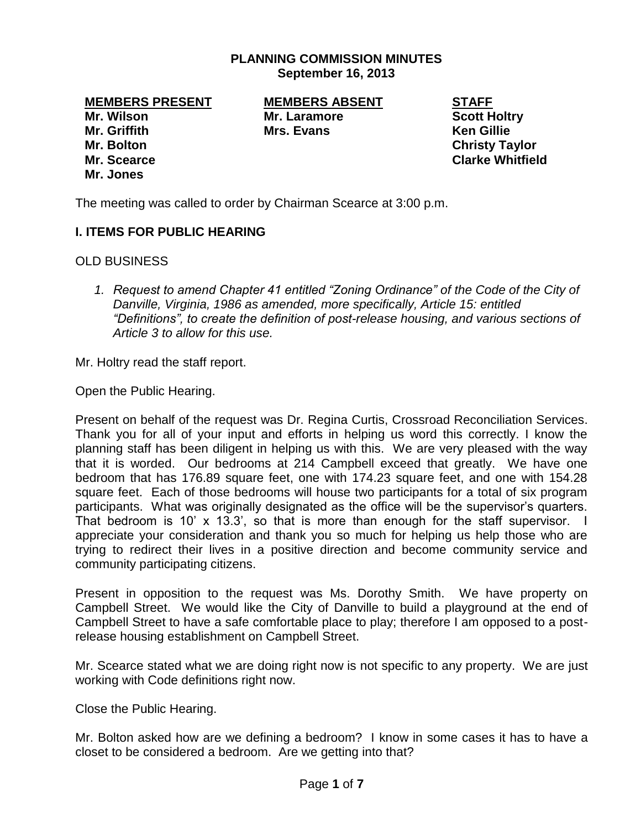## **PLANNING COMMISSION MINUTES September 16, 2013**

**Mr. Wilson Mr. Laramore Scott Holtry Mr. Griffith Mrs. Evans Ken Gillie Mr. Bolton Christy Taylor Mr. Scearce Clarke Whitfield Mr. Jones**

**MEMBERS PRESENT MEMBERS ABSENT STAFF**

The meeting was called to order by Chairman Scearce at 3:00 p.m.

# **I. ITEMS FOR PUBLIC HEARING**

OLD BUSINESS

*1. Request to amend Chapter 41 entitled "Zoning Ordinance" of the Code of the City of Danville, Virginia, 1986 as amended, more specifically, Article 15: entitled "Definitions", to create the definition of post-release housing, and various sections of Article 3 to allow for this use.*

Mr. Holtry read the staff report.

Open the Public Hearing.

Present on behalf of the request was Dr. Regina Curtis, Crossroad Reconciliation Services. Thank you for all of your input and efforts in helping us word this correctly. I know the planning staff has been diligent in helping us with this. We are very pleased with the way that it is worded. Our bedrooms at 214 Campbell exceed that greatly. We have one bedroom that has 176.89 square feet, one with 174.23 square feet, and one with 154.28 square feet. Each of those bedrooms will house two participants for a total of six program participants. What was originally designated as the office will be the supervisor's quarters. That bedroom is 10' x 13.3', so that is more than enough for the staff supervisor. I appreciate your consideration and thank you so much for helping us help those who are trying to redirect their lives in a positive direction and become community service and community participating citizens.

Present in opposition to the request was Ms. Dorothy Smith. We have property on Campbell Street. We would like the City of Danville to build a playground at the end of Campbell Street to have a safe comfortable place to play; therefore I am opposed to a postrelease housing establishment on Campbell Street.

Mr. Scearce stated what we are doing right now is not specific to any property. We are just working with Code definitions right now.

Close the Public Hearing.

Mr. Bolton asked how are we defining a bedroom? I know in some cases it has to have a closet to be considered a bedroom. Are we getting into that?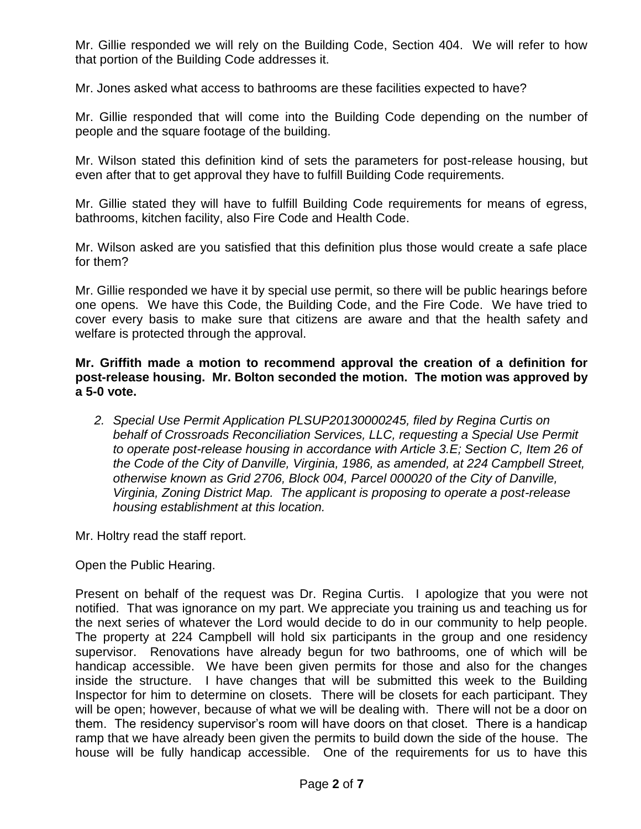Mr. Gillie responded we will rely on the Building Code, Section 404. We will refer to how that portion of the Building Code addresses it.

Mr. Jones asked what access to bathrooms are these facilities expected to have?

Mr. Gillie responded that will come into the Building Code depending on the number of people and the square footage of the building.

Mr. Wilson stated this definition kind of sets the parameters for post-release housing, but even after that to get approval they have to fulfill Building Code requirements.

Mr. Gillie stated they will have to fulfill Building Code requirements for means of egress, bathrooms, kitchen facility, also Fire Code and Health Code.

Mr. Wilson asked are you satisfied that this definition plus those would create a safe place for them?

Mr. Gillie responded we have it by special use permit, so there will be public hearings before one opens. We have this Code, the Building Code, and the Fire Code. We have tried to cover every basis to make sure that citizens are aware and that the health safety and welfare is protected through the approval.

**Mr. Griffith made a motion to recommend approval the creation of a definition for post-release housing. Mr. Bolton seconded the motion. The motion was approved by a 5-0 vote.** 

*2. Special Use Permit Application PLSUP20130000245, filed by Regina Curtis on behalf of Crossroads Reconciliation Services, LLC, requesting a Special Use Permit to operate post-release housing in accordance with Article 3.E; Section C, Item 26 of the Code of the City of Danville, Virginia, 1986, as amended, at 224 Campbell Street, otherwise known as Grid 2706, Block 004, Parcel 000020 of the City of Danville, Virginia, Zoning District Map. The applicant is proposing to operate a post-release housing establishment at this location.* 

Mr. Holtry read the staff report.

Open the Public Hearing.

Present on behalf of the request was Dr. Regina Curtis. I apologize that you were not notified. That was ignorance on my part. We appreciate you training us and teaching us for the next series of whatever the Lord would decide to do in our community to help people. The property at 224 Campbell will hold six participants in the group and one residency supervisor. Renovations have already begun for two bathrooms, one of which will be handicap accessible. We have been given permits for those and also for the changes inside the structure. I have changes that will be submitted this week to the Building Inspector for him to determine on closets. There will be closets for each participant. They will be open; however, because of what we will be dealing with. There will not be a door on them. The residency supervisor's room will have doors on that closet. There is a handicap ramp that we have already been given the permits to build down the side of the house. The house will be fully handicap accessible. One of the requirements for us to have this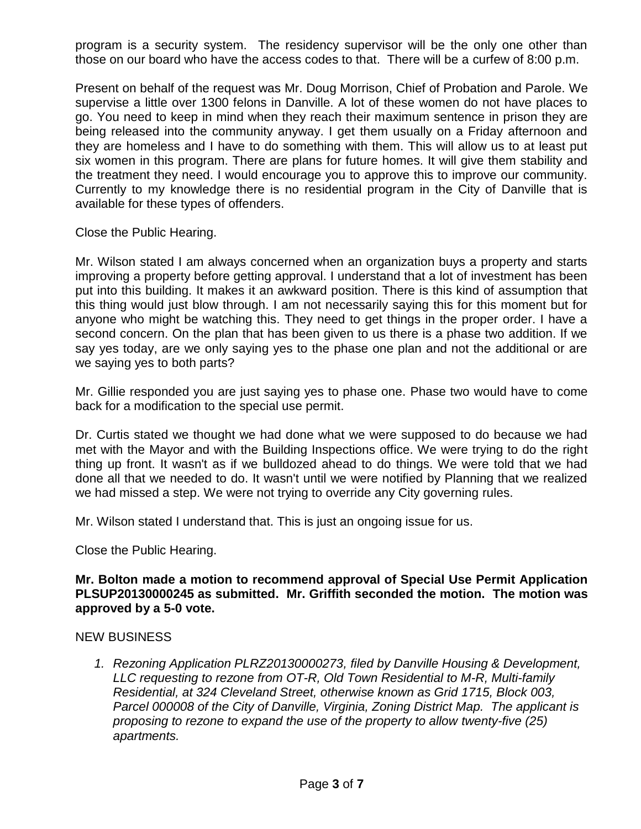program is a security system. The residency supervisor will be the only one other than those on our board who have the access codes to that. There will be a curfew of 8:00 p.m.

Present on behalf of the request was Mr. Doug Morrison, Chief of Probation and Parole. We supervise a little over 1300 felons in Danville. A lot of these women do not have places to go. You need to keep in mind when they reach their maximum sentence in prison they are being released into the community anyway. I get them usually on a Friday afternoon and they are homeless and I have to do something with them. This will allow us to at least put six women in this program. There are plans for future homes. It will give them stability and the treatment they need. I would encourage you to approve this to improve our community. Currently to my knowledge there is no residential program in the City of Danville that is available for these types of offenders.

Close the Public Hearing.

Mr. Wilson stated I am always concerned when an organization buys a property and starts improving a property before getting approval. I understand that a lot of investment has been put into this building. It makes it an awkward position. There is this kind of assumption that this thing would just blow through. I am not necessarily saying this for this moment but for anyone who might be watching this. They need to get things in the proper order. I have a second concern. On the plan that has been given to us there is a phase two addition. If we say yes today, are we only saying yes to the phase one plan and not the additional or are we saying yes to both parts?

Mr. Gillie responded you are just saying yes to phase one. Phase two would have to come back for a modification to the special use permit.

Dr. Curtis stated we thought we had done what we were supposed to do because we had met with the Mayor and with the Building Inspections office. We were trying to do the right thing up front. It wasn't as if we bulldozed ahead to do things. We were told that we had done all that we needed to do. It wasn't until we were notified by Planning that we realized we had missed a step. We were not trying to override any City governing rules.

Mr. Wilson stated I understand that. This is just an ongoing issue for us.

Close the Public Hearing.

## **Mr. Bolton made a motion to recommend approval of Special Use Permit Application PLSUP20130000245 as submitted. Mr. Griffith seconded the motion. The motion was approved by a 5-0 vote.**

### NEW BUSINESS

*1. Rezoning Application PLRZ20130000273, filed by Danville Housing & Development, LLC requesting to rezone from OT-R, Old Town Residential to M-R, Multi-family Residential, at 324 Cleveland Street, otherwise known as Grid 1715, Block 003, Parcel 000008 of the City of Danville, Virginia, Zoning District Map. The applicant is proposing to rezone to expand the use of the property to allow twenty-five (25) apartments.*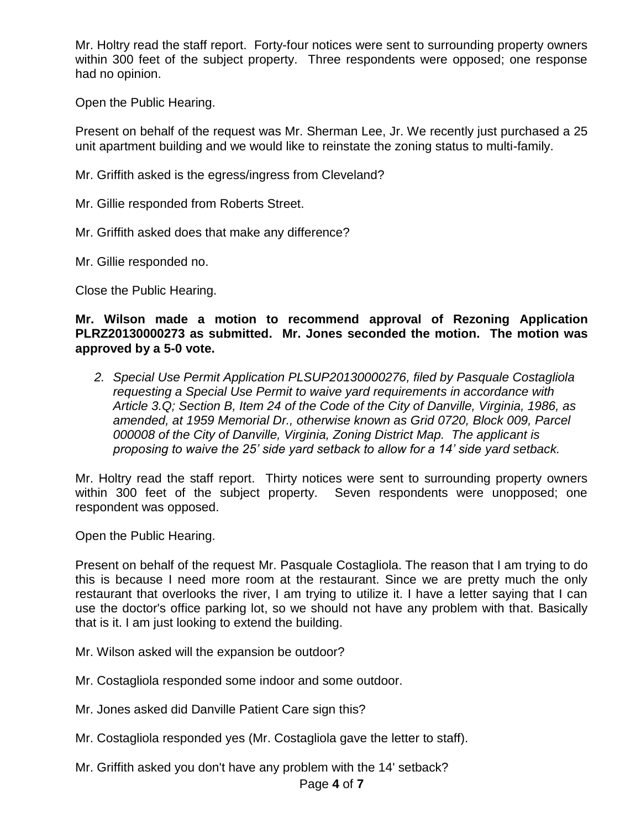Mr. Holtry read the staff report. Forty-four notices were sent to surrounding property owners within 300 feet of the subject property. Three respondents were opposed; one response had no opinion.

Open the Public Hearing.

Present on behalf of the request was Mr. Sherman Lee, Jr. We recently just purchased a 25 unit apartment building and we would like to reinstate the zoning status to multi-family.

Mr. Griffith asked is the egress/ingress from Cleveland?

Mr. Gillie responded from Roberts Street.

Mr. Griffith asked does that make any difference?

Mr. Gillie responded no.

Close the Public Hearing.

## **Mr. Wilson made a motion to recommend approval of Rezoning Application PLRZ20130000273 as submitted. Mr. Jones seconded the motion. The motion was approved by a 5-0 vote.**

*2. Special Use Permit Application PLSUP20130000276, filed by Pasquale Costagliola requesting a Special Use Permit to waive yard requirements in accordance with Article 3.Q; Section B, Item 24 of the Code of the City of Danville, Virginia, 1986, as amended, at 1959 Memorial Dr., otherwise known as Grid 0720, Block 009, Parcel 000008 of the City of Danville, Virginia, Zoning District Map. The applicant is proposing to waive the 25' side yard setback to allow for a 14' side yard setback.* 

Mr. Holtry read the staff report. Thirty notices were sent to surrounding property owners within 300 feet of the subject property. Seven respondents were unopposed; one respondent was opposed.

Open the Public Hearing.

Present on behalf of the request Mr. Pasquale Costagliola. The reason that I am trying to do this is because I need more room at the restaurant. Since we are pretty much the only restaurant that overlooks the river, I am trying to utilize it. I have a letter saying that I can use the doctor's office parking lot, so we should not have any problem with that. Basically that is it. I am just looking to extend the building.

Mr. Wilson asked will the expansion be outdoor?

Mr. Costagliola responded some indoor and some outdoor.

Mr. Jones asked did Danville Patient Care sign this?

- Mr. Costagliola responded yes (Mr. Costagliola gave the letter to staff).
- Mr. Griffith asked you don't have any problem with the 14' setback?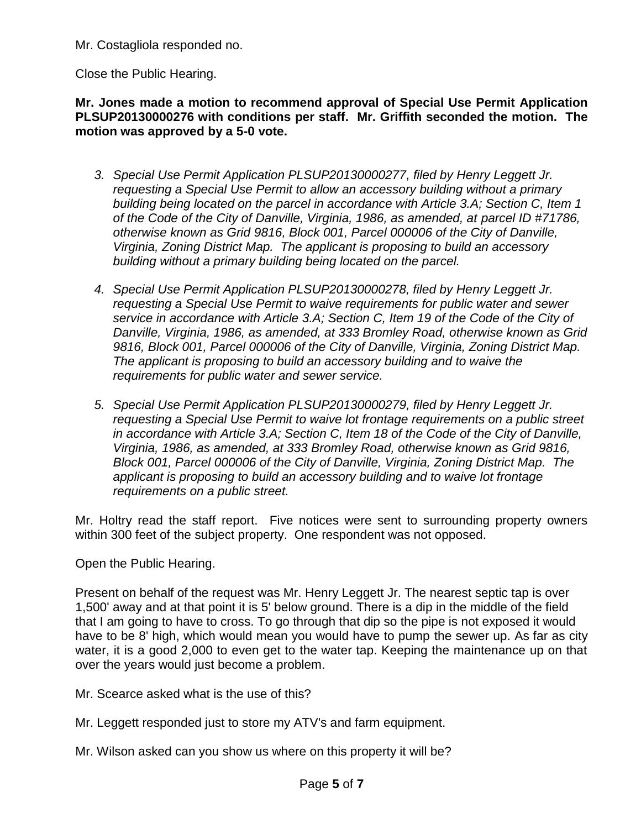Mr. Costagliola responded no.

Close the Public Hearing.

**Mr. Jones made a motion to recommend approval of Special Use Permit Application PLSUP20130000276 with conditions per staff. Mr. Griffith seconded the motion. The motion was approved by a 5-0 vote.** 

- *3. Special Use Permit Application PLSUP20130000277, filed by Henry Leggett Jr. requesting a Special Use Permit to allow an accessory building without a primary building being located on the parcel in accordance with Article 3.A; Section C, Item 1 of the Code of the City of Danville, Virginia, 1986, as amended, at parcel ID #71786, otherwise known as Grid 9816, Block 001, Parcel 000006 of the City of Danville, Virginia, Zoning District Map. The applicant is proposing to build an accessory building without a primary building being located on the parcel.*
- *4. Special Use Permit Application PLSUP20130000278, filed by Henry Leggett Jr. requesting a Special Use Permit to waive requirements for public water and sewer service in accordance with Article 3.A; Section C, Item 19 of the Code of the City of Danville, Virginia, 1986, as amended, at 333 Bromley Road, otherwise known as Grid 9816, Block 001, Parcel 000006 of the City of Danville, Virginia, Zoning District Map. The applicant is proposing to build an accessory building and to waive the requirements for public water and sewer service.*
- *5. Special Use Permit Application PLSUP20130000279, filed by Henry Leggett Jr. requesting a Special Use Permit to waive lot frontage requirements on a public street in accordance with Article 3.A; Section C, Item 18 of the Code of the City of Danville, Virginia, 1986, as amended, at 333 Bromley Road, otherwise known as Grid 9816, Block 001, Parcel 000006 of the City of Danville, Virginia, Zoning District Map. The applicant is proposing to build an accessory building and to waive lot frontage requirements on a public street.*

Mr. Holtry read the staff report. Five notices were sent to surrounding property owners within 300 feet of the subject property. One respondent was not opposed.

Open the Public Hearing.

Present on behalf of the request was Mr. Henry Leggett Jr. The nearest septic tap is over 1,500' away and at that point it is 5' below ground. There is a dip in the middle of the field that I am going to have to cross. To go through that dip so the pipe is not exposed it would have to be 8' high, which would mean you would have to pump the sewer up. As far as city water, it is a good 2,000 to even get to the water tap. Keeping the maintenance up on that over the years would just become a problem.

Mr. Scearce asked what is the use of this?

- Mr. Leggett responded just to store my ATV's and farm equipment.
- Mr. Wilson asked can you show us where on this property it will be?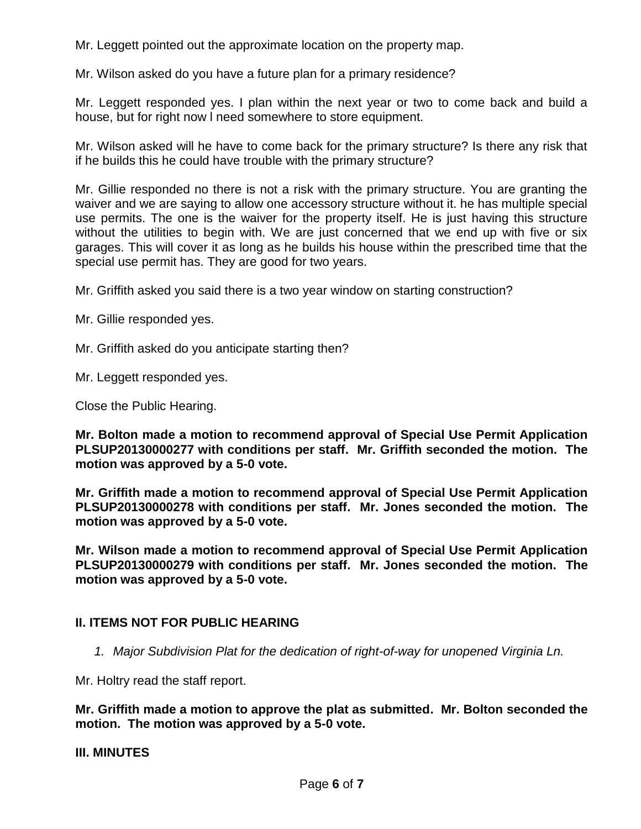Mr. Leggett pointed out the approximate location on the property map.

Mr. Wilson asked do you have a future plan for a primary residence?

Mr. Leggett responded yes. I plan within the next year or two to come back and build a house, but for right now l need somewhere to store equipment.

Mr. Wilson asked will he have to come back for the primary structure? Is there any risk that if he builds this he could have trouble with the primary structure?

Mr. Gillie responded no there is not a risk with the primary structure. You are granting the waiver and we are saying to allow one accessory structure without it. he has multiple special use permits. The one is the waiver for the property itself. He is just having this structure without the utilities to begin with. We are just concerned that we end up with five or six garages. This will cover it as long as he builds his house within the prescribed time that the special use permit has. They are good for two years.

Mr. Griffith asked you said there is a two year window on starting construction?

Mr. Gillie responded yes.

Mr. Griffith asked do you anticipate starting then?

Mr. Leggett responded yes.

Close the Public Hearing.

**Mr. Bolton made a motion to recommend approval of Special Use Permit Application PLSUP20130000277 with conditions per staff. Mr. Griffith seconded the motion. The motion was approved by a 5-0 vote.** 

**Mr. Griffith made a motion to recommend approval of Special Use Permit Application PLSUP20130000278 with conditions per staff. Mr. Jones seconded the motion. The motion was approved by a 5-0 vote.** 

**Mr. Wilson made a motion to recommend approval of Special Use Permit Application PLSUP20130000279 with conditions per staff. Mr. Jones seconded the motion. The motion was approved by a 5-0 vote.** 

# **II. ITEMS NOT FOR PUBLIC HEARING**

*1. Major Subdivision Plat for the dedication of right-of-way for unopened Virginia Ln.*

Mr. Holtry read the staff report.

**Mr. Griffith made a motion to approve the plat as submitted. Mr. Bolton seconded the motion. The motion was approved by a 5-0 vote.** 

### **III. MINUTES**